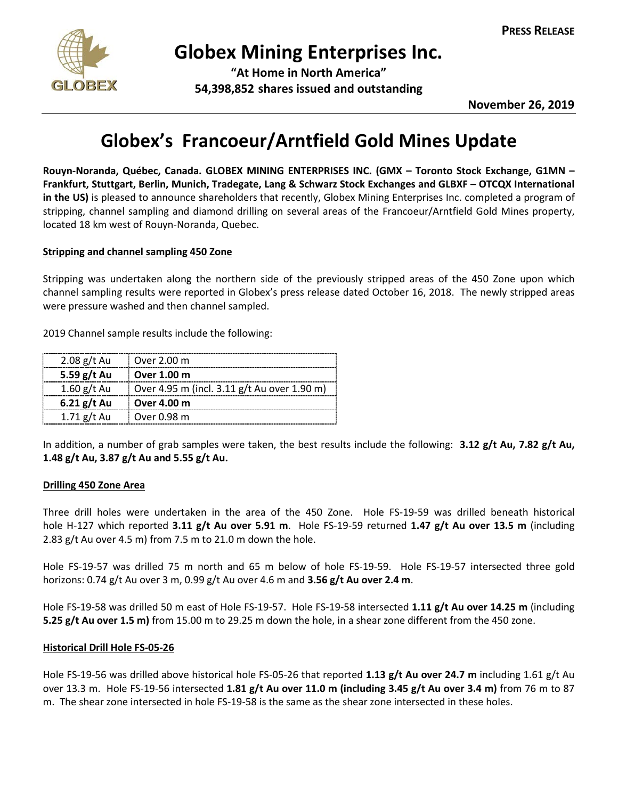

# **Globex Mining Enterprises Inc.**

**"At Home in North America" 54,398,852 shares issued and outstanding**

**November 26, 2019**

# **Globex's Francoeur/Arntfield Gold Mines Update**

**Rouyn-Noranda, Québec, Canada. GLOBEX MINING ENTERPRISES INC. (GMX – Toronto Stock Exchange, G1MN – Frankfurt, Stuttgart, Berlin, Munich, Tradegate, Lang & Schwarz Stock Exchanges and GLBXF – OTCQX International in the US)** is pleased to announce shareholders that recently, Globex Mining Enterprises Inc. completed a program of stripping, channel sampling and diamond drilling on several areas of the Francoeur/Arntfield Gold Mines property, located 18 km west of Rouyn-Noranda, Quebec.

# **Stripping and channel sampling 450 Zone**

Stripping was undertaken along the northern side of the previously stripped areas of the 450 Zone upon which channel sampling results were reported in Globex's press release dated October 16, 2018. The newly stripped areas were pressure washed and then channel sampled.

2019 Channel sample results include the following:

| $2.08$ g/t Au | Over 2.00 m                                 |
|---------------|---------------------------------------------|
| 5.59 g/t Au   | Over 1.00 m                                 |
| $1.60$ g/t Au | Over 4.95 m (incl. 3.11 g/t Au over 1.90 m) |
| $6.21$ g/t Au | Over 4.00 m                                 |
| $1.71$ g/t Au | Over 0.98 m                                 |

In addition, a number of grab samples were taken, the best results include the following: **3.12 g/t Au, 7.82 g/t Au, 1.48 g/t Au, 3.87 g/t Au and 5.55 g/t Au.**

# **Drilling 450 Zone Area**

Three drill holes were undertaken in the area of the 450 Zone. Hole FS-19-59 was drilled beneath historical hole H-127 which reported **3.11 g/t Au over 5.91 m**. Hole FS-19-59 returned **1.47 g/t Au over 13.5 m** (including 2.83 g/t Au over 4.5 m) from 7.5 m to 21.0 m down the hole.

Hole FS-19-57 was drilled 75 m north and 65 m below of hole FS-19-59. Hole FS-19-57 intersected three gold horizons: 0.74 g/t Au over 3 m, 0.99 g/t Au over 4.6 m and **3.56 g/t Au over 2.4 m**.

Hole FS-19-58 was drilled 50 m east of Hole FS-19-57. Hole FS-19-58 intersected **1.11 g/t Au over 14.25 m** (including **5.25 g/t Au over 1.5 m)** from 15.00 m to 29.25 m down the hole, in a shear zone different from the 450 zone.

# **Historical Drill Hole FS-05-26**

Hole FS-19-56 was drilled above historical hole FS-05-26 that reported **1.13 g/t Au over 24.7 m** including 1.61 g/t Au over 13.3 m. Hole FS-19-56 intersected **1.81 g/t Au over 11.0 m (including 3.45 g/t Au over 3.4 m)** from 76 m to 87 m. The shear zone intersected in hole FS-19-58 is the same as the shear zone intersected in these holes.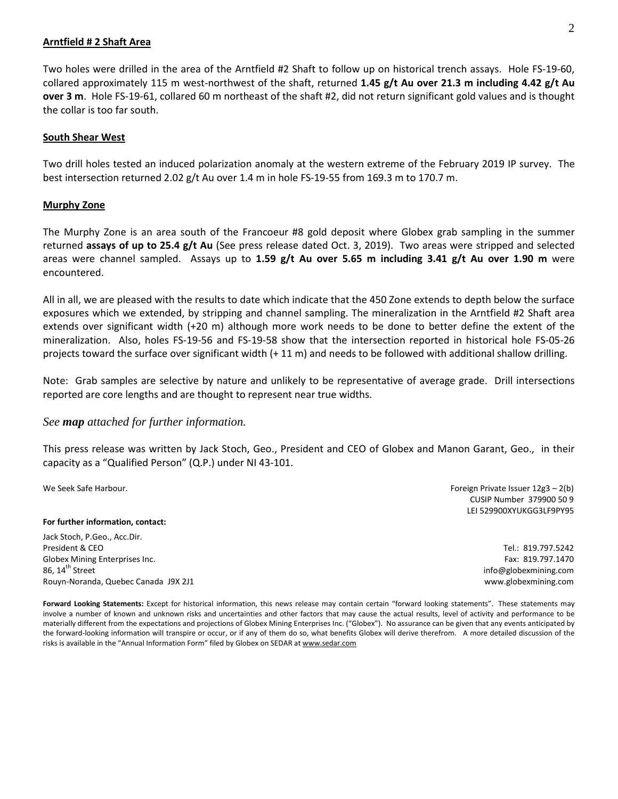### **Arntfield # 2 Shaft Area**

Two holes were drilled in the area of the Arntfield #2 Shaft to follow up on historical trench assays. Hole FS-19-60, collared approximately 115 m west-northwest of the shaft, returned **1.45 g/t Au over 21.3 m including 4.42 g/t Au over 3 m**. Hole FS-19-61, collared 60 m northeast of the shaft #2, did not return significant gold values and is thought the collar is too far south.

### **South Shear West**

Two drill holes tested an induced polarization anomaly at the western extreme of the February 2019 IP survey. The best intersection returned 2.02 g/t Au over 1.4 m in hole FS-19-55 from 169.3 m to 170.7 m.

### **Murphy Zone**

The Murphy Zone is an area south of the Francoeur #8 gold deposit where Globex grab sampling in the summer returned **assays of up to 25.4 g/t Au** (See press release dated Oct. 3, 2019). Two areas were stripped and selected areas were channel sampled. Assays up to **1.59 g/t Au over 5.65 m including 3.41 g/t Au over 1.90 m** were encountered.

All in all, we are pleased with the results to date which indicate that the 450 Zone extends to depth below the surface exposures which we extended, by stripping and channel sampling. The mineralization in the Arntfield #2 Shaft area extends over significant width (+20 m) although more work needs to be done to better define the extent of the mineralization. Also, holes FS-19-56 and FS-19-58 show that the intersection reported in historical hole FS-05-26 projects toward the surface over significant width (+ 11 m) and needs to be followed with additional shallow drilling.

Note: Grab samples are selective by nature and unlikely to be representative of average grade. Drill intersections reported are core lengths and are thought to represent near true widths.

# *See map attached for further information.*

This press release was written by Jack Stoch, Geo., President and CEO of Globex and Manon Garant, Geo., in their capacity as a "Qualified Person" (Q.P.) under NI 43-101.

#### **For further information, contact:**

Jack Stoch, P.Geo., Acc.Dir. President & CEO Globex Mining Enterprises Inc. 86,  $14<sup>th</sup>$  Street Rouyn-Noranda, Quebec Canada J9X 2J1

We Seek Safe Harbour.Foreign Private Issuer 12g3 – 2(b) CUSIP Number 379900 50 9 LEI 529900XYUKGG3LF9PY95

> Tel.: 819.797.5242 Fax: 819.797.1470 info@globexmining.com www.globexmining.com

**Forward Looking Statements:** Except for historical information, this news release may contain certain "forward looking statements". These statements may involve a number of known and unknown risks and uncertainties and other factors that may cause the actual results, level of activity and performance to be materially different from the expectations and projections of Globex Mining Enterprises Inc. ("Globex"). No assurance can be given that any events anticipated by the forward-looking information will transpire or occur, or if any of them do so, what benefits Globex will derive therefrom. A more detailed discussion of the risks is available in the "Annual Information Form" filed by Globex on SEDAR a[t www.sedar.com](http://www.sedar.com/)